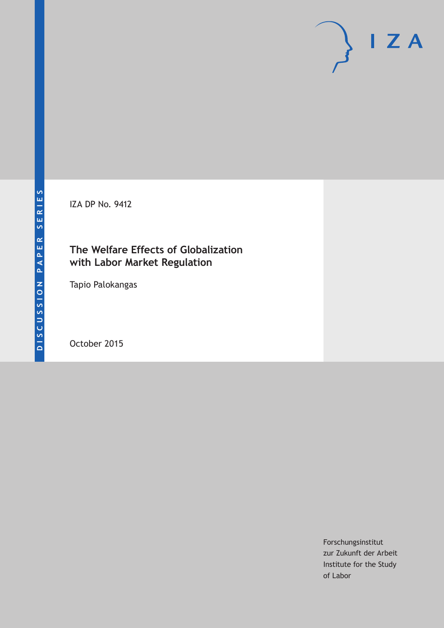IZA DP No. 9412

# **The Welfare Effects of Globalization with Labor Market Regulation**

Tapio Palokangas

October 2015

Forschungsinstitut zur Zukunft der Arbeit Institute for the Study of Labor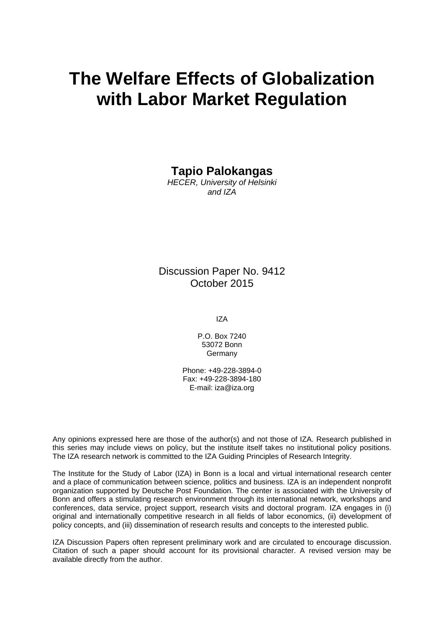# **The Welfare Effects of Globalization with Labor Market Regulation**

**Tapio Palokangas** 

*HECER, University of Helsinki and IZA* 

# Discussion Paper No. 9412 October 2015

IZA

P.O. Box 7240 53072 Bonn Germany

Phone: +49-228-3894-0 Fax: +49-228-3894-180 E-mail: iza@iza.org

Any opinions expressed here are those of the author(s) and not those of IZA. Research published in this series may include views on policy, but the institute itself takes no institutional policy positions. The IZA research network is committed to the IZA Guiding Principles of Research Integrity.

The Institute for the Study of Labor (IZA) in Bonn is a local and virtual international research center and a place of communication between science, politics and business. IZA is an independent nonprofit organization supported by Deutsche Post Foundation. The center is associated with the University of Bonn and offers a stimulating research environment through its international network, workshops and conferences, data service, project support, research visits and doctoral program. IZA engages in (i) original and internationally competitive research in all fields of labor economics, (ii) development of policy concepts, and (iii) dissemination of research results and concepts to the interested public.

IZA Discussion Papers often represent preliminary work and are circulated to encourage discussion. Citation of such a paper should account for its provisional character. A revised version may be available directly from the author.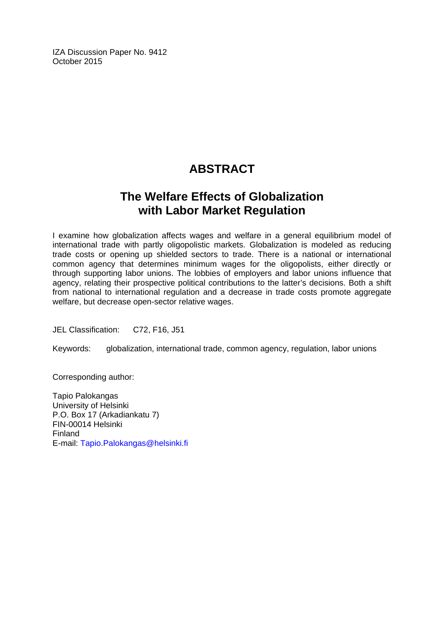IZA Discussion Paper No. 9412 October 2015

# **ABSTRACT**

# **The Welfare Effects of Globalization with Labor Market Regulation**

I examine how globalization affects wages and welfare in a general equilibrium model of international trade with partly oligopolistic markets. Globalization is modeled as reducing trade costs or opening up shielded sectors to trade. There is a national or international common agency that determines minimum wages for the oligopolists, either directly or through supporting labor unions. The lobbies of employers and labor unions influence that agency, relating their prospective political contributions to the latter's decisions. Both a shift from national to international regulation and a decrease in trade costs promote aggregate welfare, but decrease open-sector relative wages.

JEL Classification: C72, F16, J51

Keywords: globalization, international trade, common agency, regulation, labor unions

Corresponding author:

Tapio Palokangas University of Helsinki P.O. Box 17 (Arkadiankatu 7) FIN-00014 Helsinki Finland E-mail: Tapio.Palokangas@helsinki.fi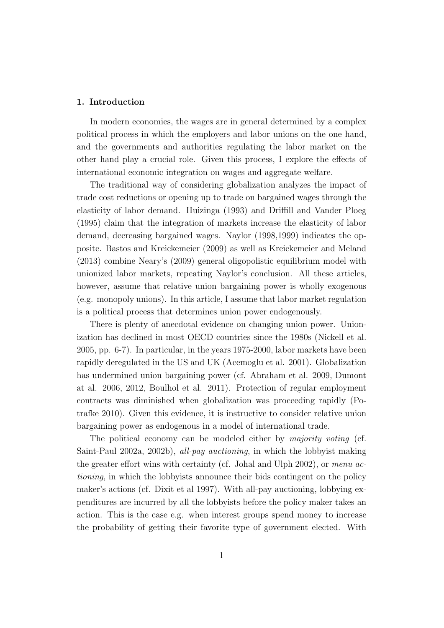### 1. Introduction

In modern economies, the wages are in general determined by a complex political process in which the employers and labor unions on the one hand, and the governments and authorities regulating the labor market on the other hand play a crucial role. Given this process, I explore the effects of international economic integration on wages and aggregate welfare.

The traditional way of considering globalization analyzes the impact of trade cost reductions or opening up to trade on bargained wages through the elasticity of labor demand. Huizinga (1993) and Driffill and Vander Ploeg (1995) claim that the integration of markets increase the elasticity of labor demand, decreasing bargained wages. Naylor (1998,1999) indicates the opposite. Bastos and Kreickemeier (2009) as well as Kreickemeier and Meland (2013) combine Neary's (2009) general oligopolistic equilibrium model with unionized labor markets, repeating Naylor's conclusion. All these articles, however, assume that relative union bargaining power is wholly exogenous (e.g. monopoly unions). In this article, I assume that labor market regulation is a political process that determines union power endogenously.

There is plenty of anecdotal evidence on changing union power. Unionization has declined in most OECD countries since the 1980s (Nickell et al. 2005, pp. 6-7). In particular, in the years 1975-2000, labor markets have been rapidly deregulated in the US and UK (Acemoglu et al. 2001). Globalization has undermined union bargaining power (cf. Abraham et al. 2009, Dumont at al. 2006, 2012, Boulhol et al. 2011). Protection of regular employment contracts was diminished when globalization was proceeding rapidly (Potrafke 2010). Given this evidence, it is instructive to consider relative union bargaining power as endogenous in a model of international trade.

The political economy can be modeled either by majority voting (cf. Saint-Paul 2002a, 2002b), all-pay auctioning, in which the lobbyist making the greater effort wins with certainty (cf. Johal and Ulph 2002), or menu actioning, in which the lobbyists announce their bids contingent on the policy maker's actions (cf. Dixit et al 1997). With all-pay auctioning, lobbying expenditures are incurred by all the lobbyists before the policy maker takes an action. This is the case e.g. when interest groups spend money to increase the probability of getting their favorite type of government elected. With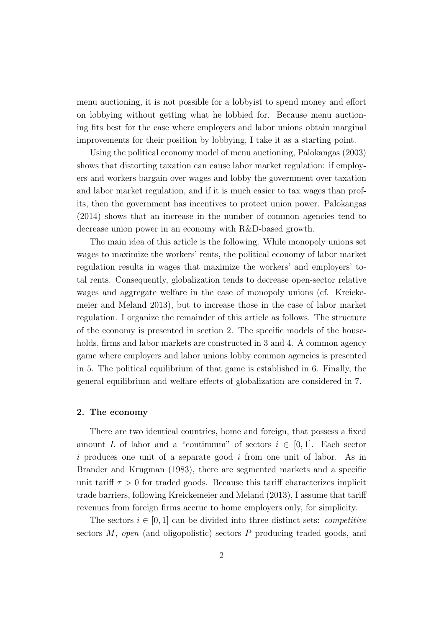menu auctioning, it is not possible for a lobbyist to spend money and effort on lobbying without getting what he lobbied for. Because menu auctioning fits best for the case where employers and labor unions obtain marginal improvements for their position by lobbying, I take it as a starting point.

Using the political economy model of menu auctioning, Palokangas (2003) shows that distorting taxation can cause labor market regulation: if employers and workers bargain over wages and lobby the government over taxation and labor market regulation, and if it is much easier to tax wages than profits, then the government has incentives to protect union power. Palokangas (2014) shows that an increase in the number of common agencies tend to decrease union power in an economy with R&D-based growth.

The main idea of this article is the following. While monopoly unions set wages to maximize the workers' rents, the political economy of labor market regulation results in wages that maximize the workers' and employers' total rents. Consequently, globalization tends to decrease open-sector relative wages and aggregate welfare in the case of monopoly unions (cf. Kreickemeier and Meland 2013), but to increase those in the case of labor market regulation. I organize the remainder of this article as follows. The structure of the economy is presented in section 2. The specific models of the households, firms and labor markets are constructed in 3 and 4. A common agency game where employers and labor unions lobby common agencies is presented in 5. The political equilibrium of that game is established in 6. Finally, the general equilibrium and welfare effects of globalization are considered in 7.

#### 2. The economy

There are two identical countries, home and foreign, that possess a fixed amount L of labor and a "continuum" of sectors  $i \in [0,1]$ . Each sector i produces one unit of a separate good i from one unit of labor. As in Brander and Krugman (1983), there are segmented markets and a specific unit tariff  $\tau > 0$  for traded goods. Because this tariff characterizes implicit trade barriers, following Kreickemeier and Meland (2013), I assume that tariff revenues from foreign firms accrue to home employers only, for simplicity.

The sectors  $i \in [0, 1]$  can be divided into three distinct sets: *competitive* sectors M, open (and oligopolistic) sectors P producing traded goods, and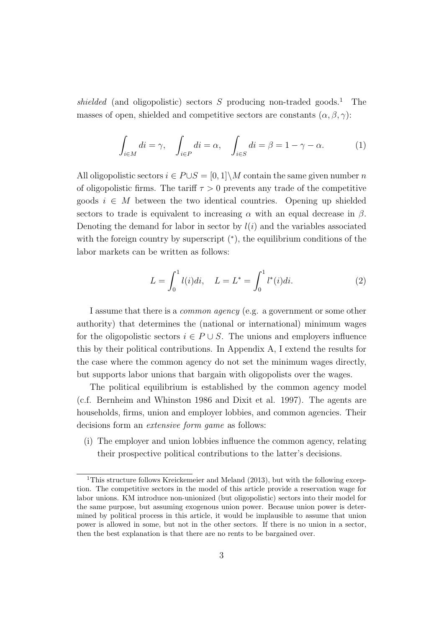shielded (and oligopolistic) sectors S producing non-traded goods.<sup>1</sup> The masses of open, shielded and competitive sectors are constants  $(\alpha, \beta, \gamma)$ :

$$
\int_{i\in M} di = \gamma, \quad \int_{i\in P} di = \alpha, \quad \int_{i\in S} di = \beta = 1 - \gamma - \alpha. \tag{1}
$$

All oligopolistic sectors  $i \in P \cup S = [0,1] \backslash M$  contain the same given number n of oligopolistic firms. The tariff  $\tau > 0$  prevents any trade of the competitive goods  $i \in M$  between the two identical countries. Opening up shielded sectors to trade is equivalent to increasing  $\alpha$  with an equal decrease in  $\beta$ . Denoting the demand for labor in sector by  $l(i)$  and the variables associated with the foreign country by superscript  $(*),$  the equilibrium conditions of the labor markets can be written as follows:

$$
L = \int_0^1 l(i)di, \quad L = L^* = \int_0^1 l^*(i)di.
$$
 (2)

I assume that there is a common agency (e.g. a government or some other authority) that determines the (national or international) minimum wages for the oligopolistic sectors  $i \in P \cup S$ . The unions and employers influence this by their political contributions. In Appendix A, I extend the results for the case where the common agency do not set the minimum wages directly, but supports labor unions that bargain with oligopolists over the wages.

The political equilibrium is established by the common agency model (c.f. Bernheim and Whinston 1986 and Dixit et al. 1997). The agents are households, firms, union and employer lobbies, and common agencies. Their decisions form an extensive form game as follows:

(i) The employer and union lobbies influence the common agency, relating their prospective political contributions to the latter's decisions.

<sup>&</sup>lt;sup>1</sup>This structure follows Kreickemeier and Meland (2013), but with the following exception. The competitive sectors in the model of this article provide a reservation wage for labor unions. KM introduce non-unionized (but oligopolistic) sectors into their model for the same purpose, but assuming exogenous union power. Because union power is determined by political process in this article, it would be implausible to assume that union power is allowed in some, but not in the other sectors. If there is no union in a sector, then the best explanation is that there are no rents to be bargained over.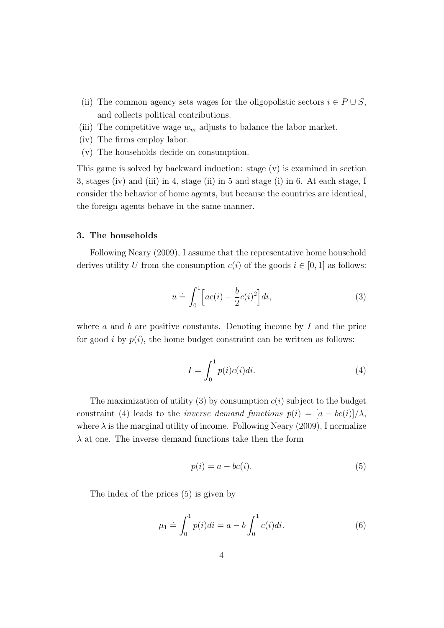- (ii) The common agency sets wages for the oligopolistic sectors  $i \in P \cup S$ , and collects political contributions.
- (iii) The competitive wage  $w_m$  adjusts to balance the labor market.
- (iv) The firms employ labor.
- (v) The households decide on consumption.

This game is solved by backward induction: stage (v) is examined in section 3, stages (iv) and (iii) in 4, stage (ii) in 5 and stage (i) in 6. At each stage, I consider the behavior of home agents, but because the countries are identical, the foreign agents behave in the same manner.

### 3. The households

Following Neary (2009), I assume that the representative home household derives utility U from the consumption  $c(i)$  of the goods  $i \in [0, 1]$  as follows:

$$
u \doteq \int_0^1 \left[ ac(i) - \frac{b}{2}c(i)^2 \right] di,\tag{3}
$$

where  $a$  and  $b$  are positive constants. Denoting income by  $I$  and the price for good i by  $p(i)$ , the home budget constraint can be written as follows:

$$
I = \int_0^1 p(i)c(i)di.
$$
 (4)

The maximization of utility (3) by consumption  $c(i)$  subject to the budget constraint (4) leads to the *inverse demand functions*  $p(i) = [a - bc(i)]/\lambda$ , where  $\lambda$  is the marginal utility of income. Following Neary (2009), I normalize  $\lambda$  at one. The inverse demand functions take then the form

$$
p(i) = a - bc(i).
$$
 (5)

The index of the prices (5) is given by

$$
\mu_1 \doteq \int_0^1 p(i)di = a - b \int_0^1 c(i)di. \tag{6}
$$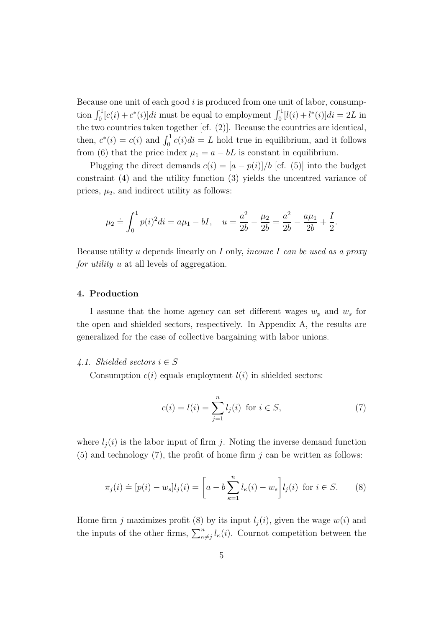Because one unit of each good  $i$  is produced from one unit of labor, consumption  $\int_0^1 [c(i) + c^*(i)]di$  must be equal to employment  $\int_0^1 [l(i) + l^*(i)]di = 2L$  in the two countries taken together [cf. (2)]. Because the countries are identical, then,  $c^*(i) = c(i)$  and  $\int_0^1 c(i)di = L$  hold true in equilibrium, and it follows from (6) that the price index  $\mu_1 = a - bL$  is constant in equilibrium.

Plugging the direct demands  $c(i) = [a - p(i)]/b$  [cf. (5)] into the budget constraint (4) and the utility function (3) yields the uncentred variance of prices,  $\mu_2$ , and indirect utility as follows:

$$
\mu_2 \doteq \int_0^1 p(i)^2 di = a\mu_1 - bI, \quad u = \frac{a^2}{2b} - \frac{\mu_2}{2b} = \frac{a^2}{2b} - \frac{a\mu_1}{2b} + \frac{I}{2}.
$$

Because utility u depends linearly on  $I$  only, *income*  $I$  can be used as a proxy for *utility* u at all levels of aggregation.

## 4. Production

I assume that the home agency can set different wages  $w_p$  and  $w_s$  for the open and shielded sectors, respectively. In Appendix A, the results are generalized for the case of collective bargaining with labor unions.

#### 4.1. Shielded sectors  $i \in S$

Consumption  $c(i)$  equals employment  $l(i)$  in shielded sectors:

$$
c(i) = l(i) = \sum_{j=1}^{n} l_j(i) \text{ for } i \in S,
$$
 (7)

where  $l_i(i)$  is the labor input of firm j. Noting the inverse demand function  $(5)$  and technology  $(7)$ , the profit of home firm j can be written as follows:

$$
\pi_j(i) \doteq [p(i) - w_s]l_j(i) = \left[a - b \sum_{\kappa=1}^n l_\kappa(i) - w_s\right]l_j(i) \text{ for } i \in S. \tag{8}
$$

Home firm j maximizes profit (8) by its input  $l_i(i)$ , given the wage  $w(i)$  and the inputs of the other firms,  $\sum_{\kappa \neq j}^n l_{\kappa}(i)$ . Cournot competition between the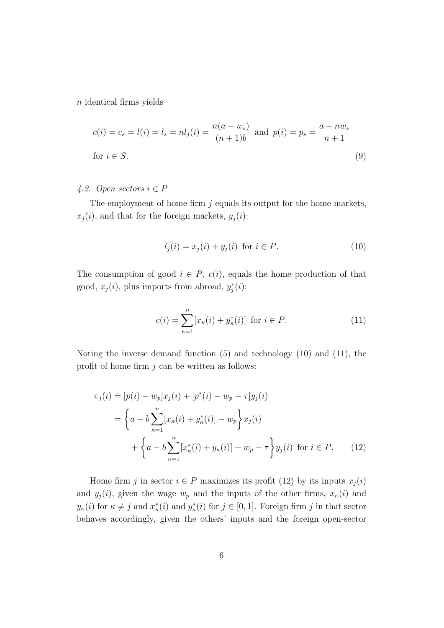n identical firms yields

$$
c(i) = c_s = l(i) = l_s = nl_j(i) = \frac{n(a - w_s)}{(n+1)b} \text{ and } p(i) = p_s = \frac{a + nw_s}{n+1}
$$
  
for  $i \in S$ . (9)

# 4.2. Open sectors  $i \in P$

The employment of home firm  $j$  equals its output for the home markets,  $x_j(i)$ , and that for the foreign markets,  $y_j(i)$ :

$$
l_j(i) = x_j(i) + y_j(i) \text{ for } i \in P.
$$
\n
$$
(10)
$$

The consumption of good  $i \in P$ ,  $c(i)$ , equals the home production of that good,  $x_j(i)$ , plus imports from abroad,  $y_j^*(i)$ :

$$
c(i) = \sum_{\kappa=1}^{n} [x_{\kappa}(i) + y_{\kappa}^{*}(i)] \text{ for } i \in P.
$$
 (11)

Noting the inverse demand function (5) and technology (10) and (11), the profit of home firm  $j$  can be written as follows:

$$
\pi_j(i) \doteq [p(i) - w_p]x_j(i) + [p^*(i) - w_p - \tau]y_j(i)
$$
\n
$$
= \left\{ a - b \sum_{\kappa=1}^n [x_\kappa(i) + y_\kappa^*(i)] - w_p \right\} x_j(i)
$$
\n
$$
+ \left\{ a - b \sum_{\kappa=1}^n [x_\kappa^*(i) + y_\kappa(i)] - w_p - \tau \right\} y_j(i) \text{ for } i \in P. \tag{12}
$$

Home firm j in sector  $i \in P$  maximizes its profit (12) by its inputs  $x_i(i)$ and  $y_j(i)$ , given the wage  $w_p$  and the inputs of the other firms,  $x_k(i)$  and  $y_{\kappa}(i)$  for  $\kappa \neq j$  and  $x_{\kappa}^*(i)$  and  $y_{\kappa}^*(i)$  for  $j \in [0,1]$ . Foreign firm j in that sector behaves accordingly, given the others' inputs and the foreign open-sector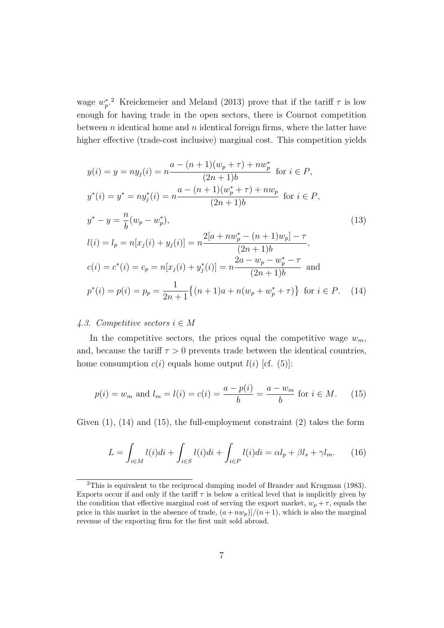wage  $w_p^*$ <sup>2</sup>. Kreickemeier and Meland (2013) prove that if the tariff  $\tau$  is low enough for having trade in the open sectors, there is Cournot competition between  $n$  identical home and  $n$  identical foreign firms, where the latter have higher effective (trade-cost inclusive) marginal cost. This competition yields

$$
y(i) = y = n y_j(i) = n \frac{a - (n + 1)(w_p + \tau) + n w_p^*}{(2n + 1)b} \text{ for } i \in P,
$$
  
\n
$$
y^*(i) = y^* = n y_j^*(i) = n \frac{a - (n + 1)(w_p^* + \tau) + n w_p}{(2n + 1)b} \text{ for } i \in P,
$$
  
\n
$$
y^* - y = \frac{n}{b}(w_p - w_p^*),
$$
  
\n
$$
l(i) = l_p = n[x_j(i) + y_j(i)] = n \frac{2[a + n w_p^* - (n + 1)w_p] - \tau}{(2n + 1)b},
$$
  
\n
$$
c(i) = c^*(i) = c_p = n[x_j(i) + y_j^*(i)] = n \frac{2a - w_p - w_p^* - \tau}{(2n + 1)b} \text{ and}
$$
  
\n
$$
p^*(i) = p(i) = p_p = \frac{1}{2n + 1} \{(n + 1)a + n(w_p + w_p^* + \tau)\} \text{ for } i \in P.
$$
 (14)

# 4.3. Competitive sectors  $i \in M$

In the competitive sectors, the prices equal the competitive wage  $w_m$ , and, because the tariff  $\tau > 0$  prevents trade between the identical countries, home consumption  $c(i)$  equals home output  $l(i)$  [cf. (5)]:

$$
p(i) = w_m
$$
 and  $l_m = l(i) = c(i) = \frac{a - p(i)}{b} = \frac{a - w_m}{b}$  for  $i \in M$ . (15)

Given  $(1)$ ,  $(14)$  and  $(15)$ , the full-employment constraint  $(2)$  takes the form

$$
L = \int_{i \in M} l(i)di + \int_{i \in S} l(i)di + \int_{i \in P} l(i)di = \alpha l_p + \beta l_s + \gamma l_m.
$$
 (16)

<sup>2</sup>This is equivalent to the reciprocal dumping model of Brander and Krugman (1983). Exports occur if and only if the tariff  $\tau$  is below a critical level that is implicitly given by the condition that effective marginal cost of serving the export market,  $w_p + \tau$ , equals the price in this market in the absence of trade,  $(a+nw_n)/(n+1)$ , which is also the marginal revenue of the exporting firm for the first unit sold abroad.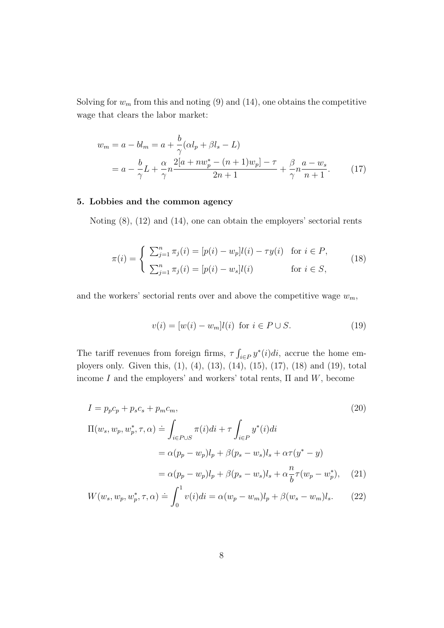Solving for  $w_m$  from this and noting (9) and (14), one obtains the competitive wage that clears the labor market:

$$
w_m = a - bl_m = a + \frac{b}{\gamma}(\alpha l_p + \beta l_s - L)
$$
  
=  $a - \frac{b}{\gamma}L + \frac{\alpha}{\gamma}n \frac{2[a + nw_p^* - (n+1)w_p] - \tau}{2n + 1} + \frac{\beta}{\gamma}n \frac{a - w_s}{n + 1}.$  (17)

# 5. Lobbies and the common agency

Noting (8), (12) and (14), one can obtain the employers' sectorial rents

$$
\pi(i) = \begin{cases} \sum_{j=1}^{n} \pi_j(i) = [p(i) - w_p]l(i) - \tau y(i) & \text{for } i \in P, \\ \sum_{j=1}^{n} \pi_j(i) = [p(i) - w_s]l(i) & \text{for } i \in S, \end{cases}
$$
(18)

and the workers' sectorial rents over and above the competitive wage  $w_m$ ,

$$
v(i) = [w(i) - w_m]l(i) \text{ for } i \in P \cup S.
$$
 (19)

The tariff revenues from foreign firms,  $\tau \int_{i \in P} y^*(i) di$ , accrue the home employers only. Given this, (1), (4), (13), (14), (15), (17), (18) and (19), total income I and the employers' and workers' total rents,  $\Pi$  and  $W$ , become

$$
I = p_p c_p + p_s c_s + p_m c_m,
$$
  
\n
$$
\Pi(w_s, w_p, w_p^*, \tau, \alpha) \doteq \int_{i \in P \cup S} \pi(i) di + \tau \int_{i \in P} y^*(i) di
$$
  
\n
$$
= \alpha (p_p - w_p) l_p + \beta (p_s - w_s) l_s + \alpha \tau (y^* - y)
$$
  
\n
$$
= \alpha (p_p - w_p) l_p + \beta (p_s - w_s) l_s + \alpha \frac{n}{b} \tau (w_p - w_p^*),
$$
\n(21)

$$
W(w_s, w_p, w_p^*, \tau, \alpha) \doteq \int_0^1 v(i)di = \alpha(w_p - w_m)l_p + \beta(w_s - w_m)l_s. \tag{22}
$$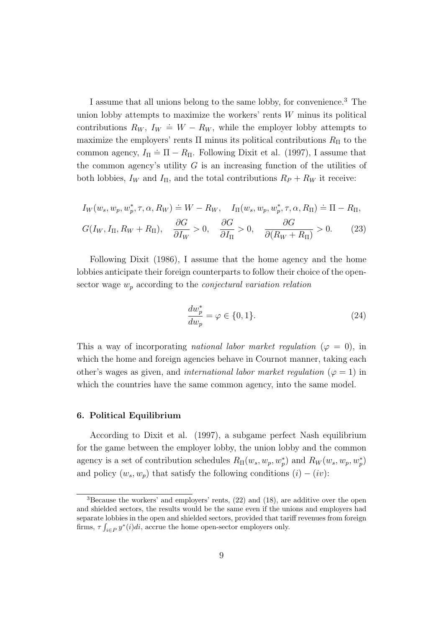I assume that all unions belong to the same lobby, for convenience.<sup>3</sup> The union lobby attempts to maximize the workers' rents  $W$  minus its political contributions  $R_W$ ,  $I_W = W - R_W$ , while the employer lobby attempts to maximize the employers' rents  $\Pi$  minus its political contributions  $R_{\Pi}$  to the common agency,  $I_{\Pi} = \Pi - R_{\Pi}$ . Following Dixit et al. (1997), I assume that the common agency's utility  $G$  is an increasing function of the utilities of both lobbies,  $I_W$  and  $I_{\Pi}$ , and the total contributions  $R_P + R_W$  it receive:

$$
I_W(w_s, w_p, w_p^*, \tau, \alpha, R_W) \doteq W - R_W, \quad I_\Pi(w_s, w_p, w_p^*, \tau, \alpha, R_\Pi) \doteq \Pi - R_\Pi,
$$
  

$$
G(I_W, I_\Pi, R_W + R_\Pi), \quad \frac{\partial G}{\partial I_W} > 0, \quad \frac{\partial G}{\partial I_\Pi} > 0, \quad \frac{\partial G}{\partial (R_W + R_\Pi)} > 0.
$$
 (23)

Following Dixit (1986), I assume that the home agency and the home lobbies anticipate their foreign counterparts to follow their choice of the opensector wage  $w_p$  according to the *conjectural variation relation* 

$$
\frac{dw_p^*}{dw_p} = \varphi \in \{0, 1\}.
$$
\n(24)

This a way of incorporating national labor market regulation ( $\varphi = 0$ ), in which the home and foreign agencies behave in Cournot manner, taking each other's wages as given, and *international labor market regulation* ( $\varphi = 1$ ) in which the countries have the same common agency, into the same model.

#### 6. Political Equilibrium

According to Dixit et al. (1997), a subgame perfect Nash equilibrium for the game between the employer lobby, the union lobby and the common agency is a set of contribution schedules  $R_{\Pi}(w_s, w_p, w_p^*)$  and  $R_W(w_s, w_p, w_p^*)$ and policy  $(w_s, w_p)$  that satisfy the following conditions  $(i) - (iv)$ :

<sup>3</sup>Because the workers' and employers' rents, (22) and (18), are additive over the open and shielded sectors, the results would be the same even if the unions and employers had separate lobbies in the open and shielded sectors, provided that tariff revenues from foreign firms,  $\tau \int_{i \in P} y^*(i) di$ , accrue the home open-sector employers only.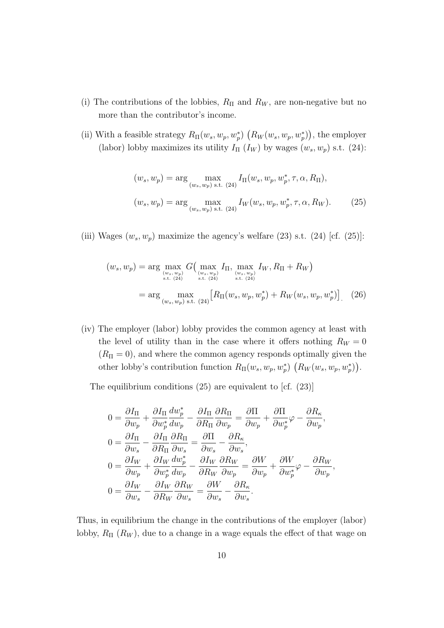- (i) The contributions of the lobbies,  $R_{\Pi}$  and  $R_W$ , are non-negative but no more than the contributor's income.
- (ii) With a feasible strategy  $R_{\Pi}(w_s, w_p, w_p^*)$   $(R_W(w_s, w_p, w_p^*))$ , the employer (labor) lobby maximizes its utility  $I_{\Pi}$  ( $I_W$ ) by wages ( $w_s, w_p$ ) s.t. (24):

$$
(w_s, w_p) = \arg \max_{(w_s, w_p) \text{ s.t. } (24)} I_\Pi(w_s, w_p, w_p^*, \tau, \alpha, R_\Pi),
$$
  

$$
(w_s, w_p) = \arg \max_{(w_s, w_p) \text{ s.t. } (24)} I_W(w_s, w_p, w_p^*, \tau, \alpha, R_W).
$$
 (25)

(iii) Wages  $(w_s, w_p)$  maximize the agency's welfare (23) s.t. (24) [cf. (25)]:

$$
(w_s, w_p) = \arg \max_{(w_s, w_p) \atop \text{s.t. (24)}} G\left(\max_{(w_s, w_p) \atop \text{s.t. (24)}} I_{\Pi}, \max_{(w_s, w_p) \atop \text{s.t. (24)}} I_W, R_{\Pi} + R_W\right)
$$

$$
= \arg \max_{(w_s, w_p) \text{ s.t. (24)}} \left[ R_{\Pi}(w_s, w_p, w_p^*) + R_W(w_s, w_p, w_p^*) \right]. \tag{26}
$$

(iv) The employer (labor) lobby provides the common agency at least with the level of utility than in the case where it offers nothing  $R_W = 0$  $(R_{\Pi} = 0)$ , and where the common agency responds optimally given the other lobby's contribution function  $R_{\Pi}(w_s, w_p, w_p^*) \left(R_W(w_s, w_p, w_p^*)\right)$ .

The equilibrium conditions (25) are equivalent to [cf. (23)]

$$
0 = \frac{\partial I_{\Pi}}{\partial w_p} + \frac{\partial I_{\Pi}}{\partial w_p^*} \frac{dw_p^*}{dw_p} - \frac{\partial I_{\Pi}}{\partial R_{\Pi}} \frac{\partial R_{\Pi}}{\partial w_p} = \frac{\partial \Pi}{\partial w_p} + \frac{\partial \Pi}{\partial w_p^*} \varphi - \frac{\partial R_{\kappa}}{\partial w_p},
$$
  
\n
$$
0 = \frac{\partial I_{\Pi}}{\partial w_s} - \frac{\partial I_{\Pi}}{\partial R_{\Pi}} \frac{\partial R_{\Pi}}{\partial w_s} = \frac{\partial \Pi}{\partial w_s} - \frac{\partial R_{\kappa}}{\partial w_s},
$$
  
\n
$$
0 = \frac{\partial I_W}{\partial w_p} + \frac{\partial I_W}{\partial w_p^*} \frac{dw_p^*}{dw_p} - \frac{\partial I_W}{\partial R_W} \frac{\partial R_W}{\partial w_p} = \frac{\partial W}{\partial w_p} + \frac{\partial W}{\partial w_p^*} \varphi - \frac{\partial R_W}{\partial w_p},
$$
  
\n
$$
0 = \frac{\partial I_W}{\partial w_s} - \frac{\partial I_W}{\partial R_W} \frac{\partial R_W}{\partial w_s} = \frac{\partial W}{\partial w_s} - \frac{\partial R_{\kappa}}{\partial w_s}.
$$

Thus, in equilibrium the change in the contributions of the employer (labor) lobby,  $R_{\Pi}$  ( $R_W$ ), due to a change in a wage equals the effect of that wage on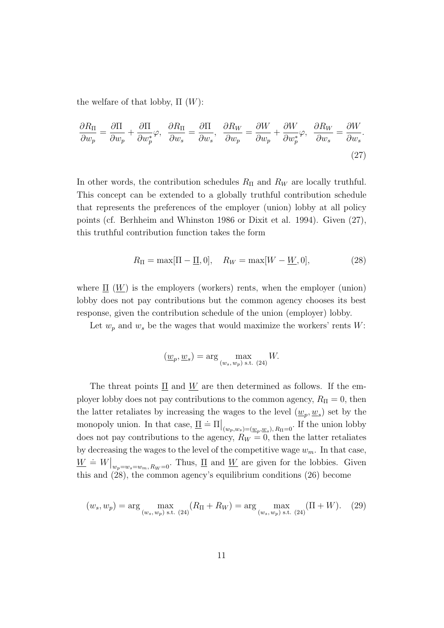the welfare of that lobby,  $\Pi(W)$ :

$$
\frac{\partial R_{\Pi}}{\partial w_p} = \frac{\partial \Pi}{\partial w_p} + \frac{\partial \Pi}{\partial w_p^*} \varphi, \quad \frac{\partial R_{\Pi}}{\partial w_s} = \frac{\partial \Pi}{\partial w_s}, \quad \frac{\partial R_W}{\partial w_p} = \frac{\partial W}{\partial w_p} + \frac{\partial W}{\partial w_p^*} \varphi, \quad \frac{\partial R_W}{\partial w_s} = \frac{\partial W}{\partial w_s}.
$$
\n(27)

In other words, the contribution schedules  $R_{\Pi}$  and  $R_W$  are locally truthful. This concept can be extended to a globally truthful contribution schedule that represents the preferences of the employer (union) lobby at all policy points (cf. Berhheim and Whinston 1986 or Dixit et al. 1994). Given (27), this truthful contribution function takes the form

$$
R_{\Pi} = \max[\Pi - \underline{\Pi}, 0], \quad R_W = \max[W - \underline{W}, 0], \tag{28}
$$

where  $\Pi$  (W) is the employers (workers) rents, when the employer (union) lobby does not pay contributions but the common agency chooses its best response, given the contribution schedule of the union (employer) lobby.

Let  $w_p$  and  $w_s$  be the wages that would maximize the workers' rents W:

$$
(\underline{w}_p, \underline{w}_s) = \arg \max_{(w_s, w_p) \text{ s.t. } (24)} W.
$$

The threat points  $\Pi$  and  $W$  are then determined as follows. If the employer lobby does not pay contributions to the common agency,  $R_{\Pi} = 0$ , then the latter retaliates by increasing the wages to the level  $(\underline{w}_p, \underline{w}_s)$  set by the monopoly union. In that case,  $\underline{\Pi} \doteq \Pi|_{(w_p,w_s)=(\underline{w}_p,\underline{w}_s), R_{\Pi}=0}$ . If the union lobby does not pay contributions to the agency,  $R_W = 0$ , then the latter retaliates by decreasing the wages to the level of the competitive wage  $w_m$ . In that case,  $W = W|_{w_p=w_s=w_m, R_W=0}$ . Thus,  $\Pi$  and  $W$  are given for the lobbies. Given this and (28), the common agency's equilibrium conditions (26) become

$$
(w_s, w_p) = \arg\max_{(w_s, w_p) \text{ s.t. } (24)} (R_{\Pi} + R_W) = \arg\max_{(w_s, w_p) \text{ s.t. } (24)} (\Pi + W). \tag{29}
$$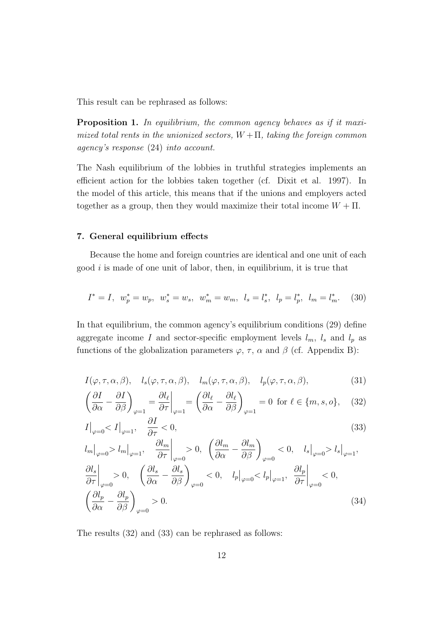This result can be rephrased as follows:

Proposition 1. In equilibrium, the common agency behaves as if it maximized total rents in the unionized sectors,  $W + \Pi$ , taking the foreign common agency's response (24) into account.

The Nash equilibrium of the lobbies in truthful strategies implements an efficient action for the lobbies taken together (cf. Dixit et al. 1997). In the model of this article, this means that if the unions and employers acted together as a group, then they would maximize their total income  $W + \Pi$ .

### 7. General equilibrium effects

Because the home and foreign countries are identical and one unit of each good  $i$  is made of one unit of labor, then, in equilibrium, it is true that

$$
I^* = I, \quad w_p^* = w_p, \quad w_s^* = w_s, \quad w_m^* = w_m, \quad l_s = l_s^*, \quad l_p = l_p^*, \quad l_m = l_m^*.
$$
 (30)

In that equilibrium, the common agency's equilibrium conditions (29) define aggregate income I and sector-specific employment levels  $l_m$ ,  $l_s$  and  $l_p$  as functions of the globalization parameters  $\varphi$ ,  $\tau$ ,  $\alpha$  and  $\beta$  (cf. Appendix B):

$$
I(\varphi, \tau, \alpha, \beta), \quad l_s(\varphi, \tau, \alpha, \beta), \quad l_m(\varphi, \tau, \alpha, \beta), \quad l_p(\varphi, \tau, \alpha, \beta),
$$
 (31)

$$
\left(\frac{\partial I}{\partial \alpha} - \frac{\partial I}{\partial \beta}\right)_{\varphi=1} = \frac{\partial l_{\ell}}{\partial \tau}\bigg|_{\varphi=1} = \left(\frac{\partial l_{\ell}}{\partial \alpha} - \frac{\partial l_{\ell}}{\partial \beta}\right)_{\varphi=1} = 0 \text{ for } \ell \in \{m, s, o\},\tag{32}
$$

$$
I|_{\varphi=0} < I|_{\varphi=1}, \quad \frac{\partial I}{\partial \tau} < 0,\tag{33}
$$

$$
l_m|_{\varphi=0} > l_m|_{\varphi=1}, \quad \frac{\partial l_m}{\partial \tau} \Big|_{\varphi=0} > 0, \quad \left(\frac{\partial l_m}{\partial \alpha} - \frac{\partial l_m}{\partial \beta}\right)_{\varphi=0} < 0, \quad l_s|_{\varphi=0} > l_s|_{\varphi=1},
$$
  

$$
\frac{\partial l_s}{\partial \tau} \Big|_{\varphi=0} > 0, \quad \left(\frac{\partial l_s}{\partial \alpha} - \frac{\partial l_s}{\partial \beta}\right)_{\varphi=0} < 0, \quad l_p|_{\varphi=0} < l_p|_{\varphi=1}, \quad \frac{\partial l_p}{\partial \tau} \Big|_{\varphi=0} < 0,
$$
  

$$
\left(\frac{\partial l_p}{\partial \alpha} - \frac{\partial l_p}{\partial \beta}\right)_{\varphi=0} > 0.
$$
 (34)

The results (32) and (33) can be rephrased as follows: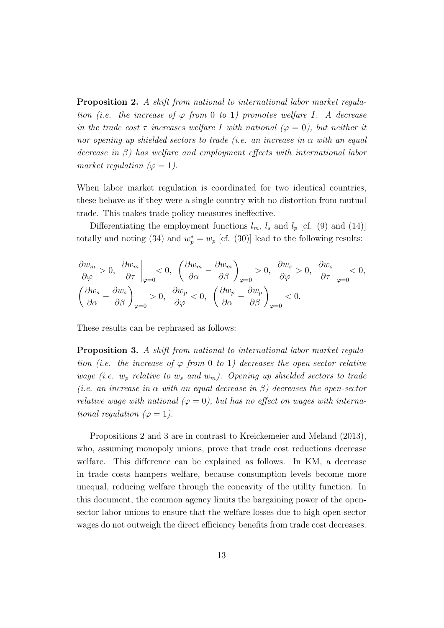Proposition 2. A shift from national to international labor market regulation (i.e. the increase of  $\varphi$  from 0 to 1) promotes welfare I. A decrease in the trade cost  $\tau$  increases welfare I with national ( $\varphi = 0$ ), but neither it nor opening up shielded sectors to trade (i.e. an increase in  $\alpha$  with an equal decrease in β) has welfare and employment effects with international labor market regulation ( $\varphi = 1$ ).

When labor market regulation is coordinated for two identical countries, these behave as if they were a single country with no distortion from mutual trade. This makes trade policy measures ineffective.

Differentiating the employment functions  $l_m$ ,  $l_s$  and  $l_p$  [cf. (9) and (14)] totally and noting (34) and  $w_p^* = w_p$  [cf. (30)] lead to the following results:

$$
\begin{split} &\left.\frac{\partial w_m}{\partial \varphi}>0,\;\;\frac{\partial w_m}{\partial \tau}\right|_{\varphi=0}<0,\;\left(\frac{\partial w_m}{\partial \alpha}-\frac{\partial w_m}{\partial \beta}\right)_{\varphi=0}>0,\;\;\frac{\partial w_s}{\partial \varphi}>0,\;\;\frac{\partial w_s}{\partial \tau}\bigg|_{\varphi=0}<0,\\ &\left(\frac{\partial w_s}{\partial \alpha}-\frac{\partial w_s}{\partial \beta}\right)_{\varphi=0}>0,\;\;\frac{\partial w_p}{\partial \varphi}<0,\;\;\left(\frac{\partial w_p}{\partial \alpha}-\frac{\partial w_p}{\partial \beta}\right)_{\varphi=0}<0. \end{split}
$$

These results can be rephrased as follows:

Proposition 3. A shift from national to international labor market regulation (i.e. the increase of  $\varphi$  from 0 to 1) decreases the open-sector relative wage (i.e.  $w_p$  relative to  $w_s$  and  $w_m$ ). Opening up shielded sectors to trade (i.e. an increase in  $\alpha$  with an equal decrease in  $\beta$ ) decreases the open-sector relative wage with national  $(\varphi = 0)$ , but has no effect on wages with international regulation ( $\varphi = 1$ ).

Propositions 2 and 3 are in contrast to Kreickemeier and Meland (2013), who, assuming monopoly unions, prove that trade cost reductions decrease welfare. This difference can be explained as follows. In KM, a decrease in trade costs hampers welfare, because consumption levels become more unequal, reducing welfare through the concavity of the utility function. In this document, the common agency limits the bargaining power of the opensector labor unions to ensure that the welfare losses due to high open-sector wages do not outweigh the direct efficiency benefits from trade cost decreases.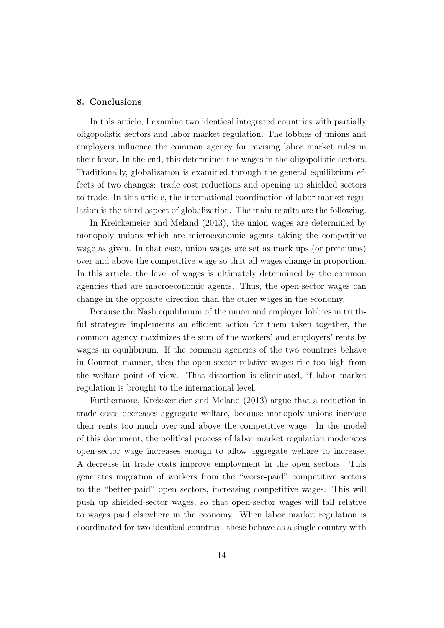### 8. Conclusions

In this article, I examine two identical integrated countries with partially oligopolistic sectors and labor market regulation. The lobbies of unions and employers influence the common agency for revising labor market rules in their favor. In the end, this determines the wages in the oligopolistic sectors. Traditionally, globalization is examined through the general equilibrium effects of two changes: trade cost reductions and opening up shielded sectors to trade. In this article, the international coordination of labor market regulation is the third aspect of globalization. The main results are the following.

In Kreickemeier and Meland (2013), the union wages are determined by monopoly unions which are microeconomic agents taking the competitive wage as given. In that case, union wages are set as mark ups (or premiums) over and above the competitive wage so that all wages change in proportion. In this article, the level of wages is ultimately determined by the common agencies that are macroeconomic agents. Thus, the open-sector wages can change in the opposite direction than the other wages in the economy.

Because the Nash equilibrium of the union and employer lobbies in truthful strategies implements an efficient action for them taken together, the common agency maximizes the sum of the workers' and employers' rents by wages in equilibrium. If the common agencies of the two countries behave in Cournot manner, then the open-sector relative wages rise too high from the welfare point of view. That distortion is eliminated, if labor market regulation is brought to the international level.

Furthermore, Kreickemeier and Meland (2013) argue that a reduction in trade costs decreases aggregate welfare, because monopoly unions increase their rents too much over and above the competitive wage. In the model of this document, the political process of labor market regulation moderates open-sector wage increases enough to allow aggregate welfare to increase. A decrease in trade costs improve employment in the open sectors. This generates migration of workers from the "worse-paid" competitive sectors to the "better-paid" open sectors, increasing competitive wages. This will push up shielded-sector wages, so that open-sector wages will fall relative to wages paid elsewhere in the economy. When labor market regulation is coordinated for two identical countries, these behave as a single country with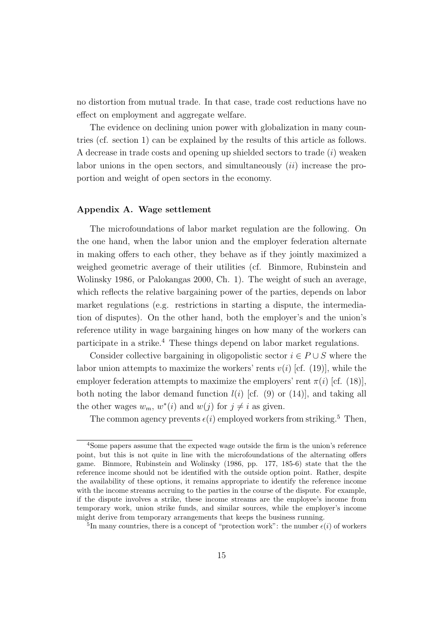no distortion from mutual trade. In that case, trade cost reductions have no effect on employment and aggregate welfare.

The evidence on declining union power with globalization in many countries (cf. section 1) can be explained by the results of this article as follows. A decrease in trade costs and opening up shielded sectors to trade  $(i)$  weaken labor unions in the open sectors, and simultaneously  $(ii)$  increase the proportion and weight of open sectors in the economy.

### Appendix A. Wage settlement

The microfoundations of labor market regulation are the following. On the one hand, when the labor union and the employer federation alternate in making offers to each other, they behave as if they jointly maximized a weighed geometric average of their utilities (cf. Binmore, Rubinstein and Wolinsky 1986, or Palokangas 2000, Ch. 1). The weight of such an average, which reflects the relative bargaining power of the parties, depends on labor market regulations (e.g. restrictions in starting a dispute, the intermediation of disputes). On the other hand, both the employer's and the union's reference utility in wage bargaining hinges on how many of the workers can participate in a strike.<sup>4</sup> These things depend on labor market regulations.

Consider collective bargaining in oligopolistic sector  $i \in P \cup S$  where the labor union attempts to maximize the workers' rents  $v(i)$  [cf. (19)], while the employer federation attempts to maximize the employers' rent  $\pi(i)$  [cf. (18)], both noting the labor demand function  $l(i)$  [cf. (9) or (14)], and taking all the other wages  $w_m$ ,  $w^*(i)$  and  $w(j)$  for  $j \neq i$  as given.

The common agency prevents  $\epsilon(i)$  employed workers from striking.<sup>5</sup> Then,

<sup>4</sup>Some papers assume that the expected wage outside the firm is the union's reference point, but this is not quite in line with the microfoundations of the alternating offers game. Binmore, Rubinstein and Wolinsky (1986, pp. 177, 185-6) state that the the reference income should not be identified with the outside option point. Rather, despite the availability of these options, it remains appropriate to identify the reference income with the income streams accruing to the parties in the course of the dispute. For example, if the dispute involves a strike, these income streams are the employee's income from temporary work, union strike funds, and similar sources, while the employer's income might derive from temporary arrangements that keeps the business running.

<sup>&</sup>lt;sup>5</sup>In many countries, there is a concept of "protection work": the number  $\epsilon(i)$  of workers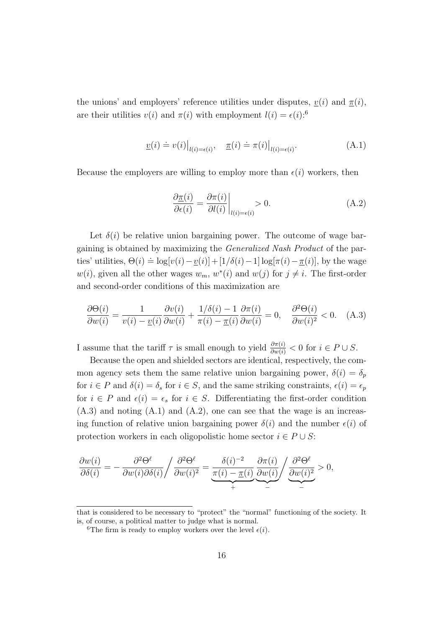the unions' and employers' reference utilities under disputes,  $v(i)$  and  $\pi(i)$ , are their utilities  $v(i)$  and  $\pi(i)$  with employment  $l(i) = \epsilon(i)$ :<sup>6</sup>

$$
\underline{v}(i) \doteq v(i)|_{l(i) = \epsilon(i)}, \quad \underline{\pi}(i) \doteq \pi(i)|_{l(i) = \epsilon(i)}.
$$
\n(A.1)

Because the employers are willing to employ more than  $\epsilon(i)$  workers, then

$$
\frac{\partial \underline{\pi}(i)}{\partial \epsilon(i)} = \frac{\partial \pi(i)}{\partial l(i)} \bigg|_{l(i) = \epsilon(i)} > 0.
$$
\n(A.2)

Let  $\delta(i)$  be relative union bargaining power. The outcome of wage bargaining is obtained by maximizing the Generalized Nash Product of the parties' utilities,  $\Theta(i) = \log[v(i) - v(i)] + [1/\delta(i) - 1] \log[\pi(i) - \pi(i)]$ , by the wage  $w(i)$ , given all the other wages  $w_m$ ,  $w^*(i)$  and  $w(j)$  for  $j \neq i$ . The first-order and second-order conditions of this maximization are

$$
\frac{\partial \Theta(i)}{\partial w(i)} = \frac{1}{v(i) - \underline{v}(i)} \frac{\partial v(i)}{\partial w(i)} + \frac{1/\delta(i) - 1}{\pi(i) - \underline{\pi}(i)} \frac{\partial \pi(i)}{\partial w(i)} = 0, \quad \frac{\partial^2 \Theta(i)}{\partial w(i)^2} < 0. \quad \text{(A.3)}
$$

I assume that the tariff  $\tau$  is small enough to yield  $\frac{\partial \pi(i)}{\partial w(i)} < 0$  for  $i \in P \cup S$ .

Because the open and shielded sectors are identical, respectively, the common agency sets them the same relative union bargaining power,  $\delta(i) = \delta_p$ for  $i \in P$  and  $\delta(i) = \delta_s$  for  $i \in S$ , and the same striking constraints,  $\epsilon(i) = \epsilon_p$ for  $i \in P$  and  $\epsilon(i) = \epsilon_s$  for  $i \in S$ . Differentiating the first-order condition  $(A.3)$  and noting  $(A.1)$  and  $(A.2)$ , one can see that the wage is an increasing function of relative union bargaining power  $\delta(i)$  and the number  $\epsilon(i)$  of protection workers in each oligopolistic home sector  $i \in P \cup S$ :

$$
\frac{\partial w(i)}{\partial \delta(i)} = -\frac{\partial^2 \Theta^\ell}{\partial w(i) \partial \delta(i)} / \frac{\partial^2 \Theta^\ell}{\partial w(i)^2} = \underbrace{\frac{\delta(i)^{-2}}{\pi(i) - \pi(i)}}_{+} \underbrace{\frac{\partial \pi(i)}{\partial w(i)}}_{-} / \underbrace{\frac{\partial^2 \Theta^\ell}{\partial w(i)^2}}_{-} > 0,
$$

that is considered to be necessary to "protect" the "normal" functioning of the society. It is, of course, a political matter to judge what is normal.

<sup>&</sup>lt;sup>6</sup>The firm is ready to employ workers over the level  $\epsilon(i)$ .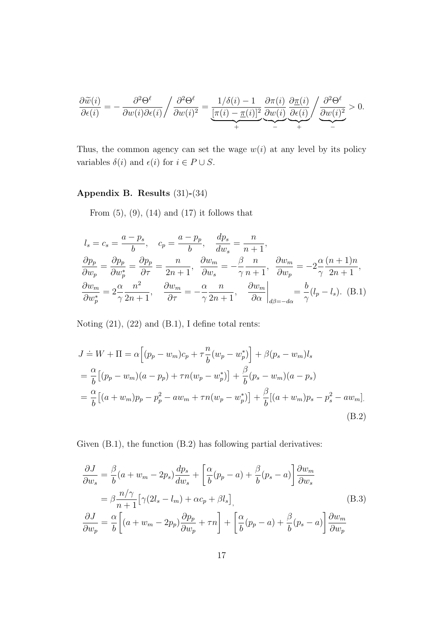$$
\frac{\partial \widetilde{w}(i)}{\partial \epsilon(i)} = -\frac{\partial^2 \Theta^\ell}{\partial w(i) \partial \epsilon(i)} / \frac{\partial^2 \Theta^\ell}{\partial w(i)^2} = \underbrace{\frac{1/\delta(i) - 1}{[\pi(i) - \underline{\pi}(i)]^2}}_{+} \underbrace{\frac{\partial \pi(i)}{\partial w(i)}}_{-} \underbrace{\frac{\partial \pi(i)}{\partial \epsilon(i)}}_{+} / \underbrace{\frac{\partial^2 \Theta^\ell}{\partial w(i)^2}}_{-} > 0.
$$

Thus, the common agency can set the wage  $w(i)$  at any level by its policy variables  $\delta(i)$  and  $\epsilon(i)$  for  $i \in P \cup S$ .

# Appendix B. Results (31)-(34)

From  $(5)$ ,  $(9)$ ,  $(14)$  and  $(17)$  it follows that

$$
l_s = c_s = \frac{a - p_s}{b}, \quad c_p = \frac{a - p_p}{b}, \quad \frac{dp_s}{dw_s} = \frac{n}{n + 1},
$$
  
\n
$$
\frac{\partial p_p}{\partial w_p} = \frac{\partial p_p}{\partial w_p^*} = \frac{\partial p_p}{\partial \tau} = \frac{n}{2n + 1}, \quad \frac{\partial w_m}{\partial w_s} = -\frac{\beta}{\gamma} \frac{n}{n + 1}, \quad \frac{\partial w_m}{\partial w_p} = -2\frac{\alpha}{\gamma} \frac{(n + 1)n}{2n + 1},
$$
  
\n
$$
\frac{\partial w_m}{\partial w_p^*} = 2\frac{\alpha}{\gamma} \frac{n^2}{2n + 1}, \quad \frac{\partial w_m}{\partial \tau} = -\frac{\alpha}{\gamma} \frac{n}{2n + 1}, \quad \frac{\partial w_m}{\partial \alpha} \bigg|_{d\beta = -d\alpha} = \frac{b}{\gamma} (l_p - l_s). \quad (B.1)
$$

Noting (21), (22) and (B.1), I define total rents:

$$
J = W + \Pi = \alpha \Big[ (p_p - w_m)c_p + \tau \frac{n}{b} (w_p - w_p^*) \Big] + \beta (p_s - w_m) l_s
$$
  
=  $\frac{\alpha}{b} \Big[ (p_p - w_m)(a - p_p) + \tau n (w_p - w_p^*) \Big] + \frac{\beta}{b} (p_s - w_m)(a - p_s)$   
=  $\frac{\alpha}{b} \Big[ (a + w_m)p_p - p_p^2 - aw_m + \tau n (w_p - w_p^*) \Big] + \frac{\beta}{b} [(a + w_m)p_s - p_s^2 - aw_m].$   
(B.2)

Given  $(B.1)$ , the function  $(B.2)$  has following partial derivatives:

$$
\frac{\partial J}{\partial w_s} = \frac{\beta}{b} (a + w_m - 2p_s) \frac{dp_s}{dw_s} + \left[ \frac{\alpha}{b} (p_p - a) + \frac{\beta}{b} (p_s - a) \right] \frac{\partial w_m}{\partial w_s}
$$
  
\n
$$
= \beta \frac{n/\gamma}{n+1} \left[ \gamma (2l_s - l_m) + \alpha c_p + \beta l_s \right],
$$
(B.3)  
\n
$$
\frac{\partial J}{\partial w_p} = \frac{\alpha}{b} \left[ (a + w_m - 2p_p) \frac{\partial p_p}{\partial w_p} + \tau n \right] + \left[ \frac{\alpha}{b} (p_p - a) + \frac{\beta}{b} (p_s - a) \right] \frac{\partial w_m}{\partial w_p}
$$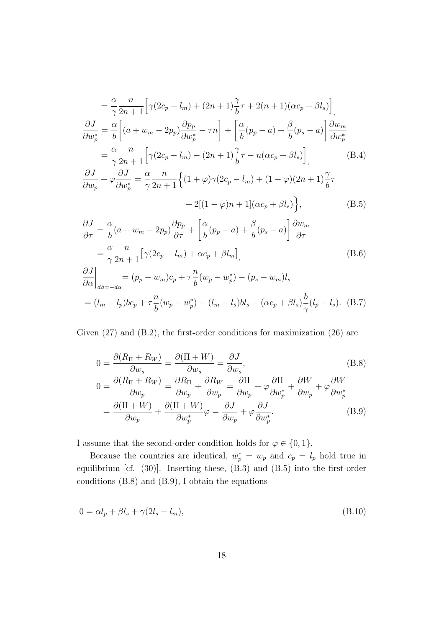$$
= \frac{\alpha}{\gamma} \frac{n}{2n+1} \Big[ \gamma(2c_p - l_m) + (2n+1) \frac{\gamma}{b} \tau + 2(n+1)(\alpha c_p + \beta l_s) \Big]_n
$$
  
\n
$$
\frac{\partial J}{\partial w_p^*} = \frac{\alpha}{b} \Big[ (a + w_m - 2p_p) \frac{\partial p_p}{\partial w_p^*} - \tau n \Big] + \Big[ \frac{\alpha}{b} (p_p - a) + \frac{\beta}{b} (p_s - a) \Big] \frac{\partial w_m}{\partial w_p^*}
$$
  
\n
$$
= \frac{\alpha}{\gamma} \frac{n}{2n+1} \Big[ \gamma(2c_p - l_m) - (2n+1) \frac{\gamma}{b} \tau - n(\alpha c_p + \beta l_s) \Big]_n
$$
(B.4)  
\n
$$
\frac{\partial J}{\partial w_p} + \varphi \frac{\partial J}{\partial w_p^*} = \frac{\alpha}{\gamma} \frac{n}{2n+1} \Big\{ (1+\varphi)\gamma(2c_p - l_m) + (1-\varphi)(2n+1) \frac{\gamma}{b} \tau + 2[(1-\varphi)n + 1](\alpha c_p + \beta l_s) \Big\},
$$
(B.5)  
\n
$$
\frac{\partial J}{\partial \tau} = \frac{\alpha}{b} (a + w_m - 2p_p) \frac{\partial p_p}{\partial \tau} + \Big[ \frac{\alpha}{b} (p_p - a) + \frac{\beta}{b} (p_s - a) \Big] \frac{\partial w_m}{\partial \tau}
$$
  
\n
$$
= \frac{\alpha}{\gamma} \frac{n}{2n+1} [\gamma(2c_p - l_m) + \alpha c_p + \beta l_m]_n
$$
  
\n
$$
\frac{\partial J}{\partial \alpha} \Big|_{d\beta = -d\alpha} = (p_p - w_m)c_p + \tau \frac{n}{b} (w_p - w_p^*) - (p_s - w_m) l_s
$$
(B.6)

$$
= (l_m - l_p)bc_p + \tau \frac{n}{b}(w_p - w_p^*) - (l_m - l_s)bl_s - (\alpha c_p + \beta l_s)\frac{b}{\gamma}(l_p - l_s). \quad (B.7)
$$

Given  $(27)$  and  $(B.2)$ , the first-order conditions for maximization  $(26)$  are

$$
0 = \frac{\partial (R_{\Pi} + R_W)}{\partial w_s} = \frac{\partial (\Pi + W)}{\partial w_s},
$$
\n
$$
0 = \frac{\partial (R_{\Pi} + R_W)}{\partial w_p} = \frac{\partial R_{\Pi}}{\partial w_p} + \frac{\partial R_W}{\partial w_p} = \frac{\partial \Pi}{\partial w_p} + \varphi \frac{\partial \Pi}{\partial w_p^*} + \frac{\partial W}{\partial w_p} + \varphi \frac{\partial W}{\partial w_p^*}
$$
\n
$$
= \frac{\partial (\Pi + W)}{\partial w_p} + \frac{\partial (\Pi + W)}{\partial w_p^*} \varphi = \frac{\partial J}{\partial w_p} + \varphi \frac{\partial J}{\partial w_p^*}.
$$
\n(B.9)

I assume that the second-order condition holds for  $\varphi \in \{0, 1\}$ .

Because the countries are identical,  $w_p^* = w_p$  and  $c_p = l_p$  hold true in equilibrium [cf. (30)]. Inserting these, (B.3) and (B.5) into the first-order conditions (B.8) and (B.9), I obtain the equations

$$
0 = \alpha l_p + \beta l_s + \gamma (2l_s - l_m),\tag{B.10}
$$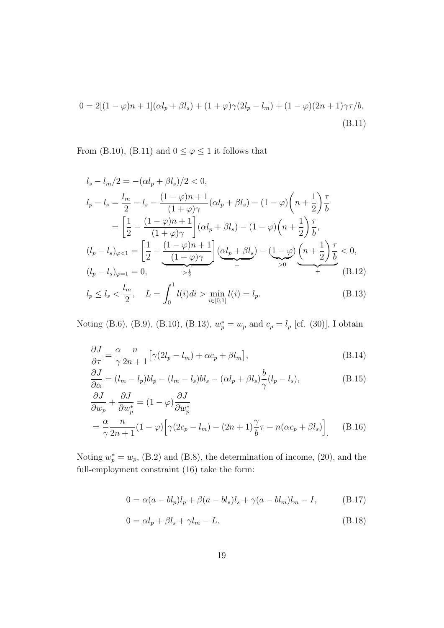$$
0 = 2[(1 - \varphi)n + 1](\alpha l_p + \beta l_s) + (1 + \varphi)\gamma(2l_p - l_m) + (1 - \varphi)(2n + 1)\gamma\tau/b.
$$
\n(B.11)

From (B.10), (B.11) and  $0\leq\varphi\leq1$  it follows that

$$
l_s - l_m/2 = -(\alpha l_p + \beta l_s)/2 < 0,
$$
  
\n
$$
l_p - l_s = \frac{l_m}{2} - l_s - \frac{(1 - \varphi)n + 1}{(1 + \varphi)\gamma}(\alpha l_p + \beta l_s) - (1 - \varphi)\left(n + \frac{1}{2}\right)\frac{\tau}{b}
$$
  
\n
$$
= \left[\frac{1}{2} - \frac{(1 - \varphi)n + 1}{(1 + \varphi)\gamma}\right](\alpha l_p + \beta l_s) - (1 - \varphi)\left(n + \frac{1}{2}\right)\frac{\tau}{b},
$$
  
\n
$$
(l_p - l_s)_{\varphi < 1} = \left[\frac{1}{2} - \frac{(1 - \varphi)n + 1}{(1 + \varphi)\gamma}\right](\frac{\alpha l_p + \beta l_s}{+}) - (\frac{1 - \varphi}{\gamma_0})\left(n + \frac{1}{2}\right)\frac{\tau}{b} < 0,
$$
  
\n
$$
(l_p - l_s)_{\varphi = 1} = 0, \qquad \Rightarrow \frac{1}{2}
$$
  
\n
$$
l_p \le l_s < \frac{l_m}{2}, \quad L = \int_0^1 l(i)di > \min_{i \in [0,1]} l(i) = l_p.
$$
  
\n(B.13)

Noting (B.6), (B.9), (B.10), (B.13),  $w_p^* = w_p$  and  $c_p = l_p$  [cf. (30)], I obtain

$$
\frac{\partial J}{\partial \tau} = \frac{\alpha}{\gamma} \frac{n}{2n+1} \left[ \gamma (2l_p - l_m) + \alpha c_p + \beta l_m \right],\tag{B.14}
$$

$$
\frac{\partial J}{\partial \alpha} = (l_m - l_p)bl_p - (l_m - l_s)bl_s - (\alpha l_p + \beta l_s) \frac{b}{\gamma} (l_p - l_s),
$$
\n(B.15)

$$
\frac{\partial J}{\partial w_p} + \frac{\partial J}{\partial w_p^*} = (1 - \varphi) \frac{\partial J}{\partial w_p^*}
$$
  
=  $\frac{\alpha}{\gamma} \frac{n}{2n + 1} (1 - \varphi) \left[ \gamma (2c_p - l_m) - (2n + 1) \frac{\gamma}{b} \tau - n(\alpha c_p + \beta l_s) \right]$  (B.16)

Noting  $w_p^* = w_p$ , (B.2) and (B.8), the determination of income, (20), and the full-employment constraint (16) take the form:

$$
0 = \alpha(a - bl_p)l_p + \beta(a - bl_s)l_s + \gamma(a - bl_m)l_m - I,
$$
 (B.17)

$$
0 = \alpha l_p + \beta l_s + \gamma l_m - L. \tag{B.18}
$$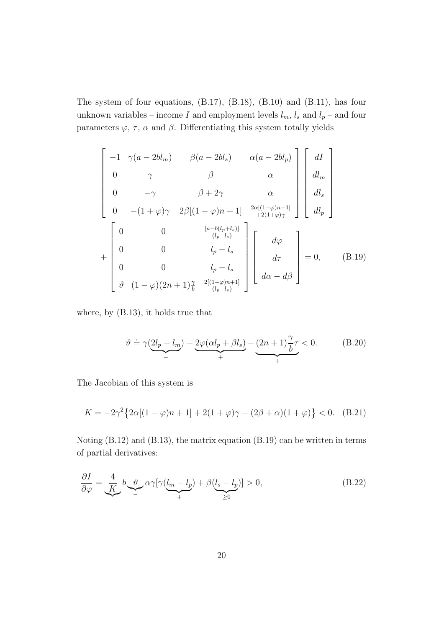The system of four equations, (B.17), (B.18), (B.10) and (B.11), has four unknown variables – income  $I$  and employment levels  $l_m$ ,  $l_s$  and  $l_p$  – and four parameters  $\varphi,\,\tau,\,\alpha$  and  $\beta.$  Differentiating this system totally yields

$$
\begin{bmatrix}\n-1 & \gamma(a-2bl_m) & \beta(a-2bl_s) & \alpha(a-2bl_p) \\
0 & \gamma & \beta & \alpha \\
0 & -\gamma & \beta+2\gamma & \alpha \\
0 & -(1+\varphi)\gamma & 2\beta[(1-\varphi)n+1] & \frac{2\alpha[(1-\varphi)n+1]}{+2(1+\varphi)\gamma}\n\end{bmatrix}\n\begin{bmatrix}\ndI \\
dl_m \\
dl_s \\
dl_s\n\end{bmatrix}
$$
\n
$$
+\n\begin{bmatrix}\n0 & 0 & \frac{[a-b(l_p+l_s)]}{(l_p-l_s)} \\
0 & 0 & l_p-l_s \\
0 & 0 & l_p-l_s \\
0 & 0 & l_p-l_s \\
\vartheta(1-\varphi)(2n+1)\frac{\gamma}{b} & \frac{2[(1-\varphi)n+1]}{(l_p-l_s)}\n\end{bmatrix}\n\begin{bmatrix}\nd\varphi \\
d\tau \\
d\alpha-d\beta\n\end{bmatrix} = 0, \quad (B.19)
$$

where, by (B.13), it holds true that

$$
\vartheta = \gamma \underbrace{(2l_p - l_m)}_{-} - \underbrace{2\varphi(\alpha l_p + \beta l_s)}_{+} - \underbrace{(2n+1)\frac{\gamma}{b}\tau}_{+} < 0. \tag{B.20}
$$

The Jacobian of this system is

$$
K = -2\gamma^{2} \{ 2\alpha [(1 - \varphi)n + 1] + 2(1 + \varphi)\gamma + (2\beta + \alpha)(1 + \varphi) \} < 0.
$$
 (B.21)

Noting (B.12) and (B.13), the matrix equation (B.19) can be written in terms of partial derivatives:

$$
\frac{\partial I}{\partial \varphi} = \underbrace{\frac{4}{K}}_{-} b \underbrace{\vartheta}_{-} \alpha \gamma [\gamma(\underbrace{l_m - l_p}) + \beta(\underbrace{l_s - l_p})] > 0,
$$
\n(B.22)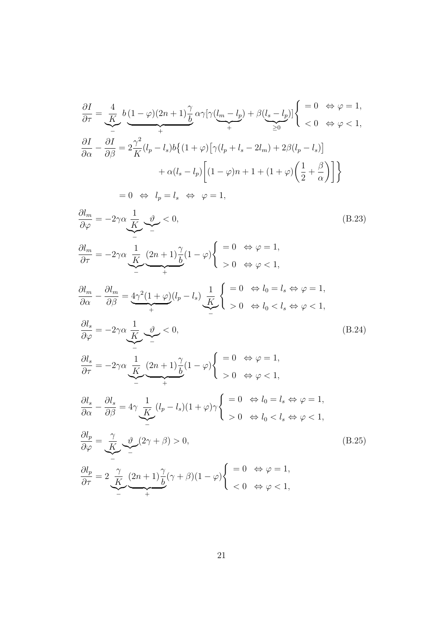$$
\frac{\partial I}{\partial \tau} = \underbrace{\frac{4}{K}}_{\mathcal{F}} b \underbrace{(1-\varphi)(2n+1)}_{\mathcal{F}} \underbrace{\alpha \gamma [\gamma (\underbrace{l_m - l_p}) + \beta (\underbrace{l_s - l_p})}_{\mathcal{F}} \bigg\{ \begin{aligned} &= 0 \iff \varphi = 1, \\ &< 0 \iff \varphi < 1, \\ &\frac{\partial I}{\partial \alpha} - \frac{\partial I}{\partial \beta} = 2 \frac{\gamma^2}{K} (l_p - l_s) b \{ (1+\varphi) [\gamma (l_p + l_s - 2l_m) + 2\beta (l_p - l_s) ] \} \\ &+ \alpha (l_s - l_p) \left[ (1-\varphi)n + 1 + (1+\varphi) \left( \frac{1}{2} + \frac{\beta}{\alpha} \right) \right] \bigg\} \\ &= 0 \iff l_p = l_s \iff \varphi = 1, \\ \frac{\partial l_m}{\partial \varphi} = -2\gamma \alpha \underbrace{\frac{1}{K}}_{\mathcal{F}} \underbrace{\frac{\vartheta}{\zeta}}_{\mathcal{F}} < 0, \end{aligned} \tag{B.23}
$$
\n
$$
\frac{\partial l_m}{\partial \alpha} = \frac{\partial l_m}{\partial \beta} = \underbrace{4\gamma^2 (1+\varphi)}_{\mathcal{F}} (l_p - l_s) \underbrace{\frac{1}{K}}_{\mathcal{F}} \left\{ \begin{aligned} &= 0 \iff l_0 = l_s \iff \varphi = 1, \\ &> 0 \iff l_0 < l_s \iff \varphi < 1, \\ &> 0 \iff l_0 < l_s \iff \varphi < 1, \\ \frac{\partial l_s}{\partial \varphi} = -2\gamma \alpha \underbrace{\frac{1}{K}}_{\mathcal{F}} \underbrace{\frac{\vartheta}{\zeta}}_{\mathcal{F}} < 0, \end{aligned} \tag{B.24}
$$
\n
$$
\frac{\partial l_s}{\partial \pi} = -2\gamma \alpha \underbrace{\frac{1}{K}}_{\mathcal{F}} (2n+1) \underbrace{\frac{\gamma}{\beta}}_{\mathcal{F}} (1-\varphi) \left\{ \begin{aligned} &= 0 \iff \varphi = 1, \\ &> 0 \iff l_0 < l_s \iff \varphi < 1, \\ &> 0 \iff \varphi < 1, \\ &> 0 \iff \varphi < 1,
$$

21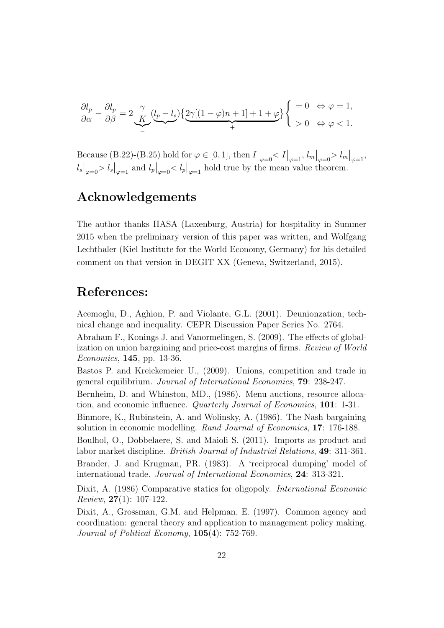$$
\frac{\partial l_p}{\partial \alpha} - \frac{\partial l_p}{\partial \beta} = 2 \underbrace{\frac{\gamma}{K}}_{-} (\underbrace{l_p-l_s}) \Big\{ \underbrace{2\gamma [(1-\varphi)n+1] + 1 + \varphi}_{+} \Big\} \Bigg\{ \begin{array}{c} = 0 \ \ \Leftrightarrow \varphi = 1,\\ > 0 \ \ \Leftrightarrow \varphi < 1. \end{array}
$$

Because (B.22)-(B.25) hold for  $\varphi \in [0, 1]$ , then  $I|_{\varphi=0} < I|_{\varphi=1}$ ,  $l_m|_{\varphi=0} > l_m|_{\varphi=1}$ ,  $l_s|_{\varphi=0} > l_s|_{\varphi=1}$  and  $l_p|_{\varphi=0} < l_p|_{\varphi=1}$  hold true by the mean value theorem.

# Acknowledgements

The author thanks IIASA (Laxenburg, Austria) for hospitality in Summer 2015 when the preliminary version of this paper was written, and Wolfgang Lechthaler (Kiel Institute for the World Economy, Germany) for his detailed comment on that version in DEGIT XX (Geneva, Switzerland, 2015).

# References:

Acemoglu, D., Aghion, P. and Violante, G.L. (2001). Deunionzation, technical change and inequality. CEPR Discussion Paper Series No. 2764.

Abraham F., Konings J. and Vanormelingen, S. (2009). The effects of globalization on union bargaining and price-cost margins of firms. Review of World Economics, 145, pp. 13-36.

Bastos P. and Kreickemeier U., (2009). Unions, competition and trade in general equilibrium. Journal of International Economics, 79: 238-247.

Bernheim, D. and Whinston, MD., (1986). Menu auctions, resource allocation, and economic influence. Quarterly Journal of Economics, 101: 1-31.

Binmore, K., Rubinstein, A. and Wolinsky, A. (1986). The Nash bargaining solution in economic modelling. Rand Journal of Economics, 17: 176-188.

Boulhol, O., Dobbelaere, S. and Maioli S. (2011). Imports as product and labor market discipline. British Journal of Industrial Relations, 49: 311-361.

Brander, J. and Krugman, PR. (1983). A 'reciprocal dumping' model of international trade. Journal of International Economics, 24: 313-321.

Dixit, A. (1986) Comparative statics for oligopoly. International Economic *Review*, **27**(1): 107-122.

Dixit, A., Grossman, G.M. and Helpman, E. (1997). Common agency and coordination: general theory and application to management policy making. Journal of Political Economy, 105(4): 752-769.